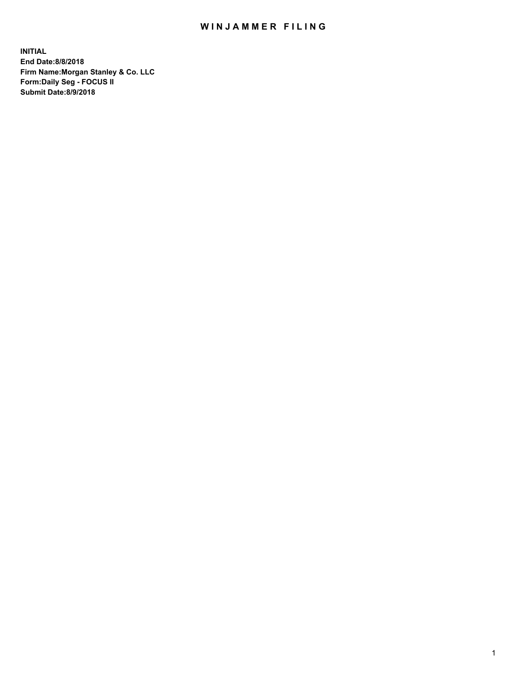## WIN JAMMER FILING

**INITIAL End Date:8/8/2018 Firm Name:Morgan Stanley & Co. LLC Form:Daily Seg - FOCUS II Submit Date:8/9/2018**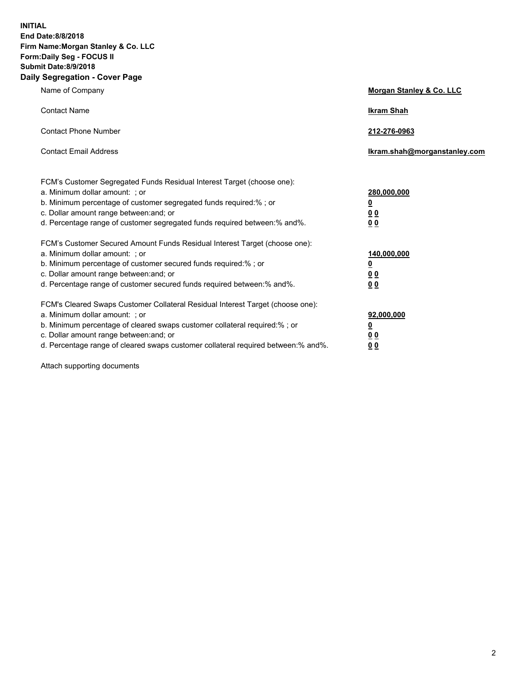**INITIAL End Date:8/8/2018 Firm Name:Morgan Stanley & Co. LLC Form:Daily Seg - FOCUS II Submit Date:8/9/2018 Daily Segregation - Cover Page**

| Name of Company                                                                                                                                                                                                                                                                                                                | Morgan Stanley & Co. LLC                                    |
|--------------------------------------------------------------------------------------------------------------------------------------------------------------------------------------------------------------------------------------------------------------------------------------------------------------------------------|-------------------------------------------------------------|
| <b>Contact Name</b>                                                                                                                                                                                                                                                                                                            | <b>Ikram Shah</b>                                           |
| <b>Contact Phone Number</b>                                                                                                                                                                                                                                                                                                    | 212-276-0963                                                |
| <b>Contact Email Address</b>                                                                                                                                                                                                                                                                                                   | Ikram.shah@morganstanley.com                                |
| FCM's Customer Segregated Funds Residual Interest Target (choose one):<br>a. Minimum dollar amount: ; or<br>b. Minimum percentage of customer segregated funds required:% ; or<br>c. Dollar amount range between: and; or<br>d. Percentage range of customer segregated funds required between:% and%.                         | 280,000,000<br><u>0</u><br>00<br>0 <sub>0</sub>             |
| FCM's Customer Secured Amount Funds Residual Interest Target (choose one):<br>a. Minimum dollar amount: ; or<br>b. Minimum percentage of customer secured funds required:%; or<br>c. Dollar amount range between: and; or<br>d. Percentage range of customer secured funds required between:% and%.                            | 140,000,000<br><u>0</u><br>0 <sub>0</sub><br>0 <sub>0</sub> |
| FCM's Cleared Swaps Customer Collateral Residual Interest Target (choose one):<br>a. Minimum dollar amount: ; or<br>b. Minimum percentage of cleared swaps customer collateral required:% ; or<br>c. Dollar amount range between: and; or<br>d. Percentage range of cleared swaps customer collateral required between:% and%. | 92,000,000<br><u>0</u><br>0 Q<br>0 <sub>0</sub>             |

Attach supporting documents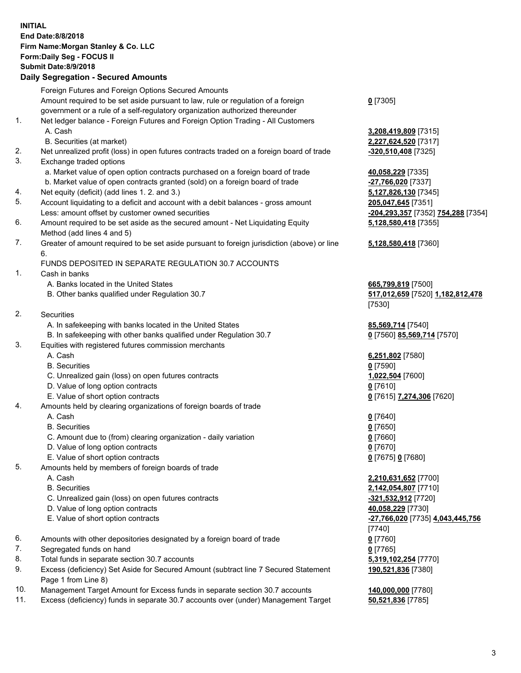## **INITIAL End Date:8/8/2018 Firm Name:Morgan Stanley & Co. LLC Form:Daily Seg - FOCUS II Submit Date:8/9/2018 Daily Segregation - Secured Amounts** Foreign Futures and Foreign Options Secured Amounts Amount required to be set aside pursuant to law, rule or regulation of a foreign government or a rule of a self-regulatory organization authorized thereunder 1. Net ledger balance - Foreign Futures and Foreign Option Trading - All Customers A. Cash **3,208,419,809** [7315] B. Securities (at market) **2,227,624,520** [7317] 2. Net unrealized profit (loss) in open futures contracts traded on a foreign board of trade **-320,510,408** [7325] 3. Exchange traded options a. Market value of open option contracts purchased on a foreign board of trade **40.058,229** [7335] b. Market value of open contracts granted (sold) on a foreign board of trade **-27,766,020** [7337] 4. Net equity (deficit) (add lines 1. 2. and 3.) **5,127,826,130** [7345] 5. Account liquidating to a deficit and account with a debit balances - gross amount **205,047,645** [7351] Less: amount offset by customer owned securities **-204,293,357** [7352] **754,288** [7354] 6. Amount required to be set aside as the secured amount - Net Liquidating Equity Method (add lines 4 and 5) 7. Greater of amount required to be set aside pursuant to foreign jurisdiction (above) or line 6. FUNDS DEPOSITED IN SEPARATE REGULATION 30.7 ACCOUNTS 1. Cash in banks A. Banks located in the United States **665,799,819** [7500] B. Other banks qualified under Regulation 30.7 **517,012,659** [7520] **1,182,812,478** 2. Securities A. In safekeeping with banks located in the United States **85,569,714** [7540] B. In safekeeping with other banks qualified under Regulation 30.7 **0** [7560] **85,569,714** [7570] 3. Equities with registered futures commission merchants A. Cash **6,251,802** [7580] B. Securities **0** [7590] C. Unrealized gain (loss) on open futures contracts **1,022,504** [7600] D. Value of long option contracts **0** [7610] E. Value of short option contracts **0** [7615] **7,274,306** [7620] 4. Amounts held by clearing organizations of foreign boards of trade A. Cash **0** [7640] B. Securities **0** [7650]

- C. Amount due to (from) clearing organization daily variation **0** [7660]
- D. Value of long option contracts **0** [7670]
- E. Value of short option contracts **0** [7675] **0** [7680]
- 5. Amounts held by members of foreign boards of trade
	-
	-
	- C. Unrealized gain (loss) on open futures contracts **-321,532,912** [7720]
	- D. Value of long option contracts **40,058,229** [7730]
	-
- 6. Amounts with other depositories designated by a foreign board of trade **0** [7760]
- 7. Segregated funds on hand **0** [7765]
- 8. Total funds in separate section 30.7 accounts **5,319,102,254** [7770]
- 9. Excess (deficiency) Set Aside for Secured Amount (subtract line 7 Secured Statement Page 1 from Line 8)
- 10. Management Target Amount for Excess funds in separate section 30.7 accounts **140,000,000** [7780]
- 11. Excess (deficiency) funds in separate 30.7 accounts over (under) Management Target **50,521,836** [7785]

**0** [7305]

**5,128,580,418** [7355]

## **5,128,580,418** [7360]

[7530]

 A. Cash **2,210,631,652** [7700] B. Securities **2,142,054,807** [7710] E. Value of short option contracts **-27,766,020** [7735] **4,043,445,756** [7740] **190,521,836** [7380]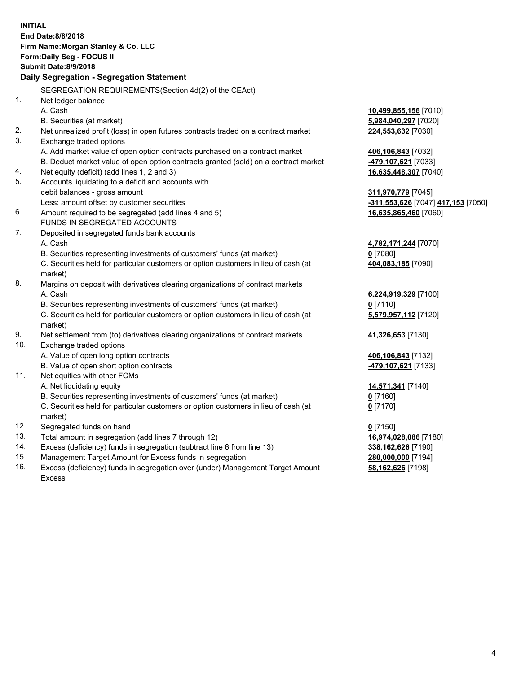|     | <b>INITIAL</b><br>End Date: 8/8/2018<br>Firm Name: Morgan Stanley & Co. LLC<br>Form: Daily Seg - FOCUS II<br><b>Submit Date:8/9/2018</b><br>Daily Segregation - Segregation Statement |                                    |
|-----|---------------------------------------------------------------------------------------------------------------------------------------------------------------------------------------|------------------------------------|
|     | SEGREGATION REQUIREMENTS(Section 4d(2) of the CEAct)                                                                                                                                  |                                    |
| 1.  | Net ledger balance                                                                                                                                                                    |                                    |
|     | A. Cash                                                                                                                                                                               | 10,499,855,156 [7010]              |
|     | B. Securities (at market)                                                                                                                                                             | 5,984,040,297 [7020]               |
| 2.  | Net unrealized profit (loss) in open futures contracts traded on a contract market                                                                                                    | 224,553,632 [7030]                 |
| 3.  | Exchange traded options                                                                                                                                                               |                                    |
|     | A. Add market value of open option contracts purchased on a contract market                                                                                                           | 406,106,843 [7032]                 |
|     | B. Deduct market value of open option contracts granted (sold) on a contract market                                                                                                   | 479,107,621 [7033]                 |
| 4.  | Net equity (deficit) (add lines 1, 2 and 3)                                                                                                                                           | 16,635,448,307 [7040]              |
| 5.  | Accounts liquidating to a deficit and accounts with                                                                                                                                   |                                    |
|     | debit balances - gross amount                                                                                                                                                         | 311,970,779 [7045]                 |
|     | Less: amount offset by customer securities                                                                                                                                            | -311,553,626 [7047] 417,153 [7050] |
| 6.  | Amount required to be segregated (add lines 4 and 5)                                                                                                                                  | 16,635,865,460 [7060]              |
|     | FUNDS IN SEGREGATED ACCOUNTS                                                                                                                                                          |                                    |
| 7.  | Deposited in segregated funds bank accounts                                                                                                                                           |                                    |
|     | A. Cash                                                                                                                                                                               | 4,782,171,244 [7070]               |
|     | B. Securities representing investments of customers' funds (at market)                                                                                                                | $0$ [7080]                         |
|     | C. Securities held for particular customers or option customers in lieu of cash (at                                                                                                   | 404,083,185 [7090]                 |
|     | market)                                                                                                                                                                               |                                    |
| 8.  | Margins on deposit with derivatives clearing organizations of contract markets                                                                                                        |                                    |
|     | A. Cash                                                                                                                                                                               | 6,224,919,329 [7100]               |
|     | B. Securities representing investments of customers' funds (at market)                                                                                                                | $0$ [7110]                         |
|     | C. Securities held for particular customers or option customers in lieu of cash (at<br>market)                                                                                        | 5,579,957,112 [7120]               |
| 9.  | Net settlement from (to) derivatives clearing organizations of contract markets                                                                                                       | 41,326,653 [7130]                  |
| 10. | Exchange traded options                                                                                                                                                               |                                    |
|     | A. Value of open long option contracts                                                                                                                                                | 406,106,843 [7132]                 |
|     | B. Value of open short option contracts                                                                                                                                               | 479,107,621 [7133]                 |
| 11. | Net equities with other FCMs                                                                                                                                                          |                                    |
|     | A. Net liquidating equity                                                                                                                                                             | 14,571,341 [7140]                  |
|     | B. Securities representing investments of customers' funds (at market)                                                                                                                | 0 [7160]                           |
|     | C. Securities held for particular customers or option customers in lieu of cash (at                                                                                                   | $0$ [7170]                         |
|     | market)                                                                                                                                                                               |                                    |
| 12. | Segregated funds on hand                                                                                                                                                              | $0$ [7150]                         |
| 13. | Total amount in segregation (add lines 7 through 12)                                                                                                                                  | 16,974,028,086 [7180]              |
| 14. | Excess (deficiency) funds in segregation (subtract line 6 from line 13)                                                                                                               | 338,162,626 [7190]                 |
| 15. | Management Target Amount for Excess funds in segregation                                                                                                                              | 280,000,000 [7194]                 |
| 16. | Excess (deficiency) funds in segregation over (under) Management Target Amount                                                                                                        | 58,162,626 [7198]                  |

16. Excess (deficiency) funds in segregation over (under) Management Target Amount Excess